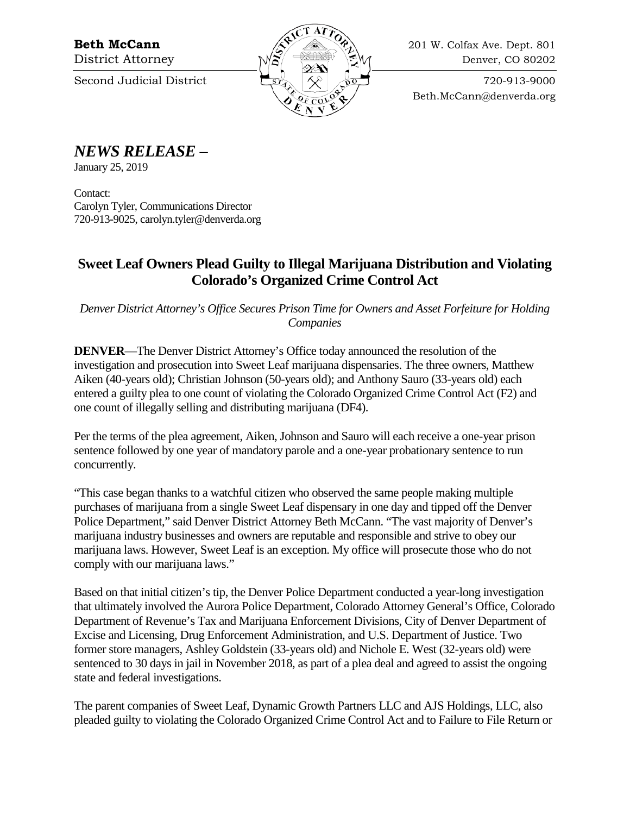

Beth.McCann@denverda.org

*NEWS RELEASE* **–**

January 25, 2019

Contact: Carolyn Tyler, Communications Director 720-913-9025, carolyn.tyler@denverda.org

## **Sweet Leaf Owners Plead Guilty to Illegal Marijuana Distribution and Violating Colorado's Organized Crime Control Act**

*Denver District Attorney's Office Secures Prison Time for Owners and Asset Forfeiture for Holding Companies*

**DENVER**—The Denver District Attorney's Office today announced the resolution of the investigation and prosecution into Sweet Leaf marijuana dispensaries. The three owners, Matthew Aiken (40-years old); Christian Johnson (50-years old); and Anthony Sauro (33-years old) each entered a guilty plea to one count of violating the Colorado Organized Crime Control Act (F2) and one count of illegally selling and distributing marijuana (DF4).

Per the terms of the plea agreement, Aiken, Johnson and Sauro will each receive a one-year prison sentence followed by one year of mandatory parole and a one-year probationary sentence to run concurrently.

"This case began thanks to a watchful citizen who observed the same people making multiple purchases of marijuana from a single Sweet Leaf dispensary in one day and tipped off the Denver Police Department," said Denver District Attorney Beth McCann. "The vast majority of Denver's marijuana industry businesses and owners are reputable and responsible and strive to obey our marijuana laws. However, Sweet Leaf is an exception. My office will prosecute those who do not comply with our marijuana laws."

Based on that initial citizen's tip, the Denver Police Department conducted a year-long investigation that ultimately involved the Aurora Police Department, Colorado Attorney General's Office, Colorado Department of Revenue's Tax and Marijuana Enforcement Divisions, City of Denver Department of Excise and Licensing, Drug Enforcement Administration, and U.S. Department of Justice. Two former store managers, Ashley Goldstein (33-years old) and Nichole E. West (32-years old) were sentenced to 30 days in jail in November 2018, as part of a plea deal and agreed to assist the ongoing state and federal investigations.

The parent companies of Sweet Leaf, Dynamic Growth Partners LLC and AJS Holdings, LLC, also pleaded guilty to violating the Colorado Organized Crime Control Act and to Failure to File Return or